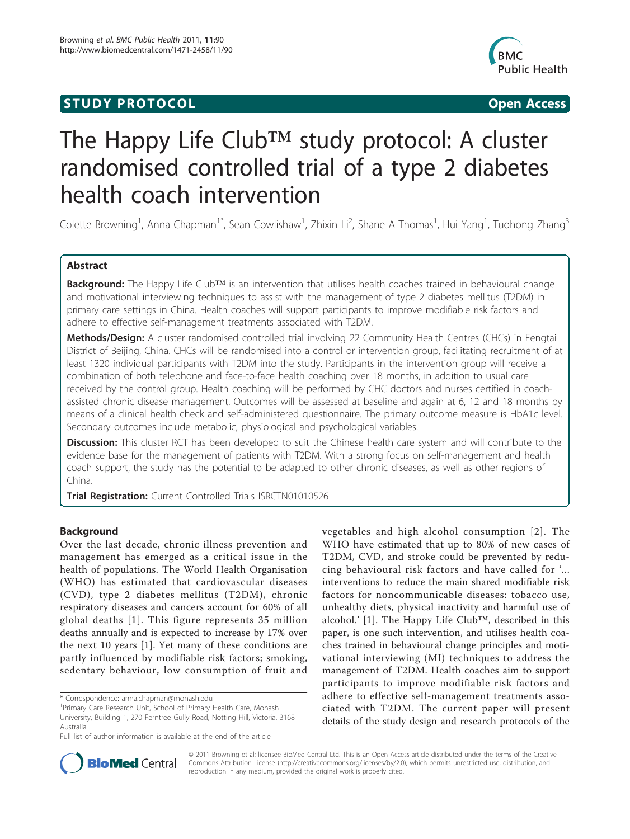## **STUDY PROTOCOL** And the state of the state of the state of the state of the state of the state of the state of the state of the state of the state of the state of the state of the state of the state of the state of the st



# The Happy Life Club™ study protocol: A cluster randomised controlled trial of a type 2 diabetes health coach intervention

Colette Browning<sup>1</sup>, Anna Chapman<sup>1\*</sup>, Sean Cowlishaw<sup>1</sup>, Zhixin Li<sup>2</sup>, Shane A Thomas<sup>1</sup>, Hui Yang<sup>1</sup>, Tuohong Zhang<sup>3</sup>

## Abstract

Background: The Happy Life Club™ is an intervention that utilises health coaches trained in behavioural change and motivational interviewing techniques to assist with the management of type 2 diabetes mellitus (T2DM) in primary care settings in China. Health coaches will support participants to improve modifiable risk factors and adhere to effective self-management treatments associated with T2DM.

Methods/Design: A cluster randomised controlled trial involving 22 Community Health Centres (CHCs) in Fengtai District of Beijing, China. CHCs will be randomised into a control or intervention group, facilitating recruitment of at least 1320 individual participants with T2DM into the study. Participants in the intervention group will receive a combination of both telephone and face-to-face health coaching over 18 months, in addition to usual care received by the control group. Health coaching will be performed by CHC doctors and nurses certified in coachassisted chronic disease management. Outcomes will be assessed at baseline and again at 6, 12 and 18 months by means of a clinical health check and self-administered questionnaire. The primary outcome measure is HbA1c level. Secondary outcomes include metabolic, physiological and psychological variables.

**Discussion:** This cluster RCT has been developed to suit the Chinese health care system and will contribute to the evidence base for the management of patients with T2DM. With a strong focus on self-management and health coach support, the study has the potential to be adapted to other chronic diseases, as well as other regions of China.

**Trial Registration:** Current Controlled Trials [ISRCTN01010526](http://www.controlled-trials.com/ISRCTN01010526)

## **Background**

Over the last decade, chronic illness prevention and management has emerged as a critical issue in the health of populations. The World Health Organisation (WHO) has estimated that cardiovascular diseases (CVD), type 2 diabetes mellitus (T2DM), chronic respiratory diseases and cancers account for 60% of all global deaths [[1\]](#page-7-0). This figure represents 35 million deaths annually and is expected to increase by 17% over the next 10 years [\[1](#page-7-0)]. Yet many of these conditions are partly influenced by modifiable risk factors; smoking, sedentary behaviour, low consumption of fruit and

vegetables and high alcohol consumption [[2\]](#page-7-0). The WHO have estimated that up to 80% of new cases of T2DM, CVD, and stroke could be prevented by reducing behavioural risk factors and have called for '... interventions to reduce the main shared modifiable risk factors for noncommunicable diseases: tobacco use, unhealthy diets, physical inactivity and harmful use of alcohol.' [[1\]](#page-7-0). The Happy Life Club<sup>™</sup>, described in this paper, is one such intervention, and utilises health coaches trained in behavioural change principles and motivational interviewing (MI) techniques to address the management of T2DM. Health coaches aim to support participants to improve modifiable risk factors and adhere to effective self-management treatments associated with T2DM. The current paper will present details of the study design and research protocols of the



© 2011 Browning et al; licensee BioMed Central Ltd. This is an Open Access article distributed under the terms of the Creative Commons Attribution License [\(http://creativecommons.org/licenses/by/2.0](http://creativecommons.org/licenses/by/2.0)), which permits unrestricted use, distribution, and reproduction in any medium, provided the original work is properly cited.

<sup>\*</sup> Correspondence: [anna.chapman@monash.edu](mailto:anna.chapman@monash.edu)

<sup>&</sup>lt;sup>1</sup> Primary Care Research Unit, School of Primary Health Care, Monash University, Building 1, 270 Ferntree Gully Road, Notting Hill, Victoria, 3168 Australia

Full list of author information is available at the end of the article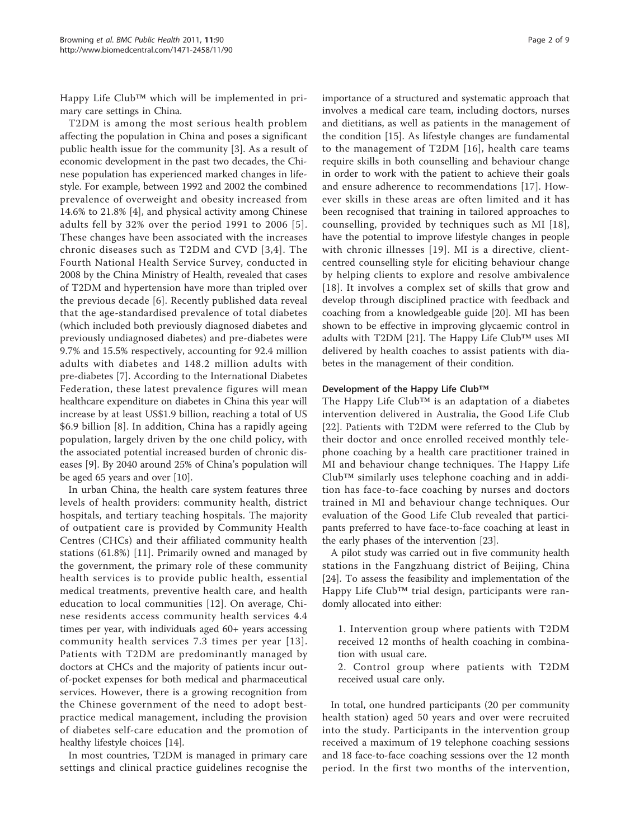Happy Life Club™ which will be implemented in primary care settings in China.

T2DM is among the most serious health problem affecting the population in China and poses a significant public health issue for the community [[3\]](#page-7-0). As a result of economic development in the past two decades, the Chinese population has experienced marked changes in lifestyle. For example, between 1992 and 2002 the combined prevalence of overweight and obesity increased from 14.6% to 21.8% [[4\]](#page-7-0), and physical activity among Chinese adults fell by 32% over the period 1991 to 2006 [[5\]](#page-7-0). These changes have been associated with the increases chronic diseases such as T2DM and CVD [[3,4\]](#page-7-0). The Fourth National Health Service Survey, conducted in 2008 by the China Ministry of Health, revealed that cases of T2DM and hypertension have more than tripled over the previous decade [[6\]](#page-7-0). Recently published data reveal that the age-standardised prevalence of total diabetes (which included both previously diagnosed diabetes and previously undiagnosed diabetes) and pre-diabetes were 9.7% and 15.5% respectively, accounting for 92.4 million adults with diabetes and 148.2 million adults with pre-diabetes [\[7](#page-7-0)]. According to the International Diabetes Federation, these latest prevalence figures will mean healthcare expenditure on diabetes in China this year will increase by at least US\$1.9 billion, reaching a total of US \$6.9 billion [[8](#page-7-0)]. In addition, China has a rapidly ageing population, largely driven by the one child policy, with the associated potential increased burden of chronic diseases [[9\]](#page-7-0). By 2040 around 25% of China's population will be aged 65 years and over [\[10\]](#page-7-0).

In urban China, the health care system features three levels of health providers: community health, district hospitals, and tertiary teaching hospitals. The majority of outpatient care is provided by Community Health Centres (CHCs) and their affiliated community health stations (61.8%) [[11\]](#page-7-0). Primarily owned and managed by the government, the primary role of these community health services is to provide public health, essential medical treatments, preventive health care, and health education to local communities [[12\]](#page-7-0). On average, Chinese residents access community health services 4.4 times per year, with individuals aged 60+ years accessing community health services 7.3 times per year [[13\]](#page-7-0). Patients with T2DM are predominantly managed by doctors at CHCs and the majority of patients incur outof-pocket expenses for both medical and pharmaceutical services. However, there is a growing recognition from the Chinese government of the need to adopt bestpractice medical management, including the provision of diabetes self-care education and the promotion of healthy lifestyle choices [\[14](#page-7-0)].

In most countries, T2DM is managed in primary care settings and clinical practice guidelines recognise the importance of a structured and systematic approach that involves a medical care team, including doctors, nurses and dietitians, as well as patients in the management of the condition [\[15](#page-7-0)]. As lifestyle changes are fundamental to the management of T2DM [[16\]](#page-7-0), health care teams require skills in both counselling and behaviour change in order to work with the patient to achieve their goals and ensure adherence to recommendations [[17](#page-7-0)]. However skills in these areas are often limited and it has been recognised that training in tailored approaches to counselling, provided by techniques such as MI [[18](#page-7-0)], have the potential to improve lifestyle changes in people with chronic illnesses [[19\]](#page-7-0). MI is a directive, clientcentred counselling style for eliciting behaviour change by helping clients to explore and resolve ambivalence [[18](#page-7-0)]. It involves a complex set of skills that grow and develop through disciplined practice with feedback and coaching from a knowledgeable guide [[20\]](#page-7-0). MI has been shown to be effective in improving glycaemic control in adults with T2DM [\[21](#page-7-0)]. The Happy Life Club<sup>™</sup> uses MI delivered by health coaches to assist patients with diabetes in the management of their condition.

#### Development of the Happy Life Club™

The Happy Life Club™ is an adaptation of a diabetes intervention delivered in Australia, the Good Life Club [[22](#page-7-0)]. Patients with T2DM were referred to the Club by their doctor and once enrolled received monthly telephone coaching by a health care practitioner trained in MI and behaviour change techniques. The Happy Life Club™ similarly uses telephone coaching and in addition has face-to-face coaching by nurses and doctors trained in MI and behaviour change techniques. Our evaluation of the Good Life Club revealed that participants preferred to have face-to-face coaching at least in the early phases of the intervention [[23](#page-7-0)].

A pilot study was carried out in five community health stations in the Fangzhuang district of Beijing, China [[24\]](#page-7-0). To assess the feasibility and implementation of the Happy Life Club™ trial design, participants were randomly allocated into either:

1. Intervention group where patients with T2DM received 12 months of health coaching in combination with usual care.

2. Control group where patients with T2DM received usual care only.

In total, one hundred participants (20 per community health station) aged 50 years and over were recruited into the study. Participants in the intervention group received a maximum of 19 telephone coaching sessions and 18 face-to-face coaching sessions over the 12 month period. In the first two months of the intervention,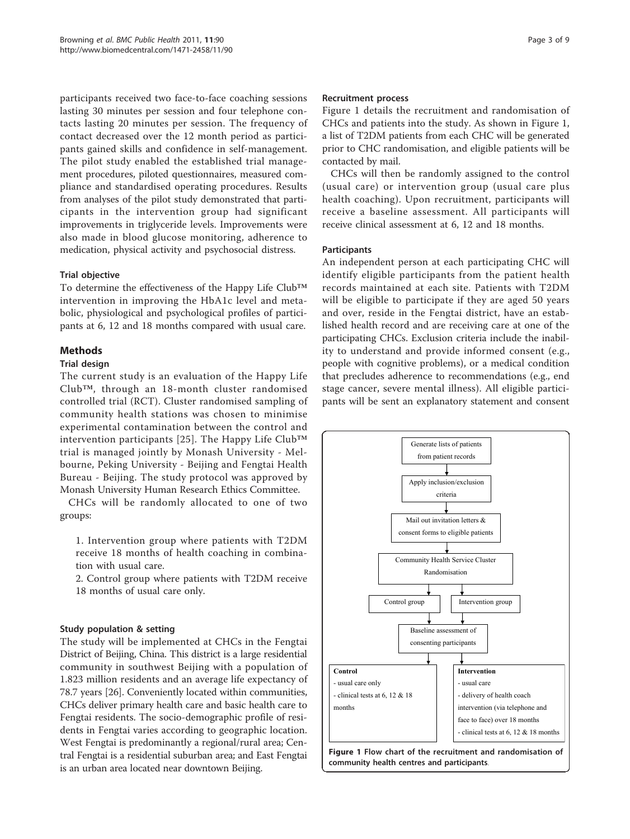participants received two face-to-face coaching sessions lasting 30 minutes per session and four telephone contacts lasting 20 minutes per session. The frequency of contact decreased over the 12 month period as participants gained skills and confidence in self-management. The pilot study enabled the established trial management procedures, piloted questionnaires, measured compliance and standardised operating procedures. Results from analyses of the pilot study demonstrated that participants in the intervention group had significant improvements in triglyceride levels. Improvements were also made in blood glucose monitoring, adherence to medication, physical activity and psychosocial distress.

#### Trial objective

To determine the effectiveness of the Happy Life Club™ intervention in improving the HbA1c level and metabolic, physiological and psychological profiles of participants at 6, 12 and 18 months compared with usual care.

## Methods

## Trial design

The current study is an evaluation of the Happy Life Club™, through an 18-month cluster randomised controlled trial (RCT). Cluster randomised sampling of community health stations was chosen to minimise experimental contamination between the control and intervention participants [\[25\]](#page-7-0). The Happy Life Club™ trial is managed jointly by Monash University - Melbourne, Peking University - Beijing and Fengtai Health Bureau - Beijing. The study protocol was approved by Monash University Human Research Ethics Committee.

CHCs will be randomly allocated to one of two groups:

1. Intervention group where patients with T2DM receive 18 months of health coaching in combination with usual care.

2. Control group where patients with T2DM receive 18 months of usual care only.

#### Study population & setting

The study will be implemented at CHCs in the Fengtai District of Beijing, China. This district is a large residential community in southwest Beijing with a population of 1.823 million residents and an average life expectancy of 78.7 years [\[26](#page-7-0)]. Conveniently located within communities, CHCs deliver primary health care and basic health care to Fengtai residents. The socio-demographic profile of residents in Fengtai varies according to geographic location. West Fengtai is predominantly a regional/rural area; Central Fengtai is a residential suburban area; and East Fengtai is an urban area located near downtown Beijing.

#### Recruitment process

Figure 1 details the recruitment and randomisation of CHCs and patients into the study. As shown in Figure 1, a list of T2DM patients from each CHC will be generated prior to CHC randomisation, and eligible patients will be contacted by mail.

CHCs will then be randomly assigned to the control (usual care) or intervention group (usual care plus health coaching). Upon recruitment, participants will receive a baseline assessment. All participants will receive clinical assessment at 6, 12 and 18 months.

## Participants

An independent person at each participating CHC will identify eligible participants from the patient health records maintained at each site. Patients with T2DM will be eligible to participate if they are aged 50 years and over, reside in the Fengtai district, have an established health record and are receiving care at one of the participating CHCs. Exclusion criteria include the inability to understand and provide informed consent (e.g., people with cognitive problems), or a medical condition that precludes adherence to recommendations (e.g., end stage cancer, severe mental illness). All eligible participants will be sent an explanatory statement and consent

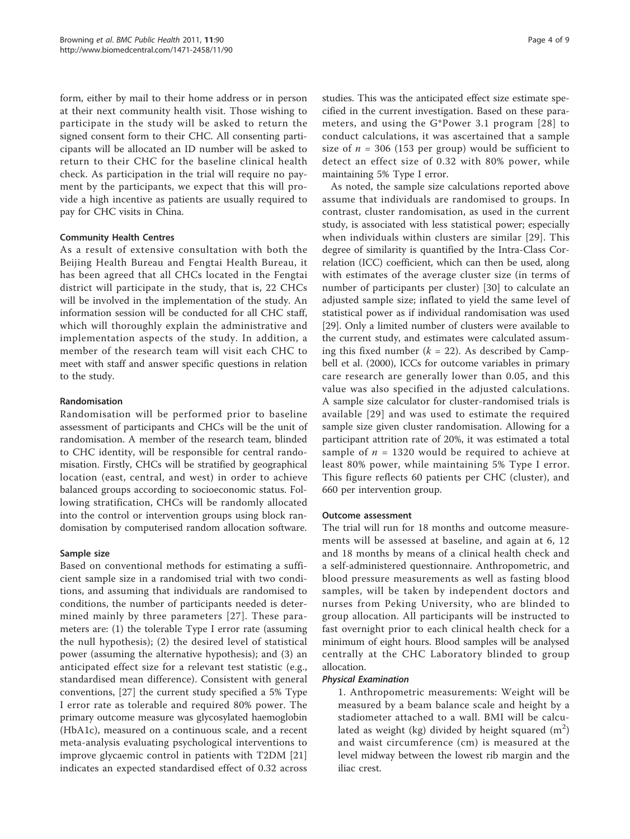form, either by mail to their home address or in person at their next community health visit. Those wishing to participate in the study will be asked to return the signed consent form to their CHC. All consenting participants will be allocated an ID number will be asked to return to their CHC for the baseline clinical health check. As participation in the trial will require no payment by the participants, we expect that this will provide a high incentive as patients are usually required to pay for CHC visits in China.

#### Community Health Centres

As a result of extensive consultation with both the Beijing Health Bureau and Fengtai Health Bureau, it has been agreed that all CHCs located in the Fengtai district will participate in the study, that is, 22 CHCs will be involved in the implementation of the study. An information session will be conducted for all CHC staff, which will thoroughly explain the administrative and implementation aspects of the study. In addition, a member of the research team will visit each CHC to meet with staff and answer specific questions in relation to the study.

#### Randomisation

Randomisation will be performed prior to baseline assessment of participants and CHCs will be the unit of randomisation. A member of the research team, blinded to CHC identity, will be responsible for central randomisation. Firstly, CHCs will be stratified by geographical location (east, central, and west) in order to achieve balanced groups according to socioeconomic status. Following stratification, CHCs will be randomly allocated into the control or intervention groups using block randomisation by computerised random allocation software.

#### Sample size

Based on conventional methods for estimating a sufficient sample size in a randomised trial with two conditions, and assuming that individuals are randomised to conditions, the number of participants needed is determined mainly by three parameters [[27](#page-7-0)]. These parameters are: (1) the tolerable Type I error rate (assuming the null hypothesis); (2) the desired level of statistical power (assuming the alternative hypothesis); and (3) an anticipated effect size for a relevant test statistic (e.g., standardised mean difference). Consistent with general conventions, [\[27](#page-7-0)] the current study specified a 5% Type I error rate as tolerable and required 80% power. The primary outcome measure was glycosylated haemoglobin (HbA1c), measured on a continuous scale, and a recent meta-analysis evaluating psychological interventions to improve glycaemic control in patients with T2DM [\[21](#page-7-0)] indicates an expected standardised effect of 0.32 across studies. This was the anticipated effect size estimate specified in the current investigation. Based on these parameters, and using the G\*Power 3.1 program [[28\]](#page-7-0) to conduct calculations, it was ascertained that a sample size of  $n = 306$  (153 per group) would be sufficient to detect an effect size of 0.32 with 80% power, while maintaining 5% Type I error.

As noted, the sample size calculations reported above assume that individuals are randomised to groups. In contrast, cluster randomisation, as used in the current study, is associated with less statistical power; especially when individuals within clusters are similar [\[29\]](#page-7-0). This degree of similarity is quantified by the Intra-Class Correlation (ICC) coefficient, which can then be used, along with estimates of the average cluster size (in terms of number of participants per cluster) [[30](#page-7-0)] to calculate an adjusted sample size; inflated to yield the same level of statistical power as if individual randomisation was used [[29\]](#page-7-0). Only a limited number of clusters were available to the current study, and estimates were calculated assuming this fixed number ( $k = 22$ ). As described by Campbell et al. (2000), ICCs for outcome variables in primary care research are generally lower than 0.05, and this value was also specified in the adjusted calculations. A sample size calculator for cluster-randomised trials is available [[29](#page-7-0)] and was used to estimate the required sample size given cluster randomisation. Allowing for a participant attrition rate of 20%, it was estimated a total sample of  $n = 1320$  would be required to achieve at least 80% power, while maintaining 5% Type I error. This figure reflects 60 patients per CHC (cluster), and 660 per intervention group.

#### Outcome assessment

The trial will run for 18 months and outcome measurements will be assessed at baseline, and again at 6, 12 and 18 months by means of a clinical health check and a self-administered questionnaire. Anthropometric, and blood pressure measurements as well as fasting blood samples, will be taken by independent doctors and nurses from Peking University, who are blinded to group allocation. All participants will be instructed to fast overnight prior to each clinical health check for a minimum of eight hours. Blood samples will be analysed centrally at the CHC Laboratory blinded to group allocation.

#### Physical Examination

1. Anthropometric measurements: Weight will be measured by a beam balance scale and height by a stadiometer attached to a wall. BMI will be calculated as weight (kg) divided by height squared  $(m^2)$ and waist circumference (cm) is measured at the level midway between the lowest rib margin and the iliac crest.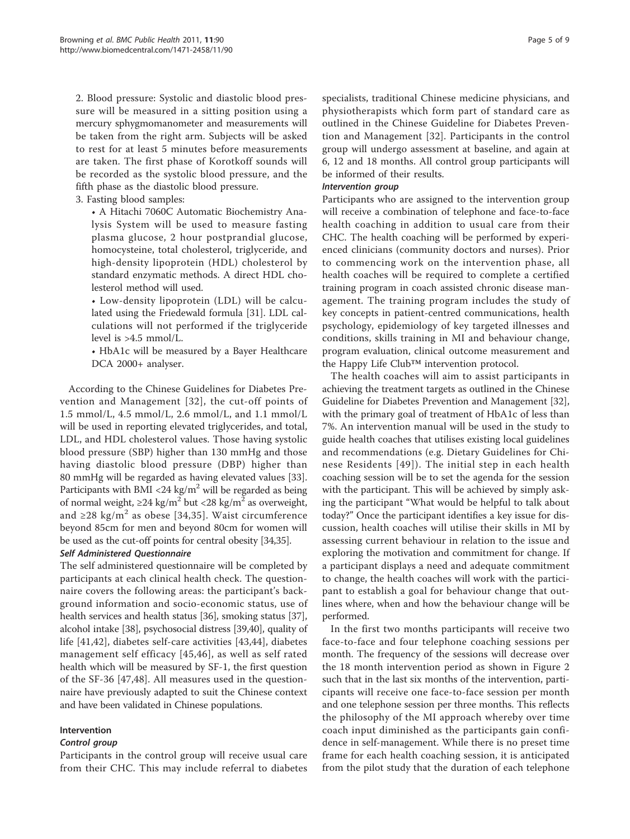2. Blood pressure: Systolic and diastolic blood pressure will be measured in a sitting position using a mercury sphygmomanometer and measurements will be taken from the right arm. Subjects will be asked to rest for at least 5 minutes before measurements are taken. The first phase of Korotkoff sounds will be recorded as the systolic blood pressure, and the fifth phase as the diastolic blood pressure.

3. Fasting blood samples:

• A Hitachi 7060C Automatic Biochemistry Analysis System will be used to measure fasting plasma glucose, 2 hour postprandial glucose, homocysteine, total cholesterol, triglyceride, and high-density lipoprotein (HDL) cholesterol by standard enzymatic methods. A direct HDL cholesterol method will used.

• Low-density lipoprotein (LDL) will be calculated using the Friedewald formula [\[31\]](#page-7-0). LDL calculations will not performed if the triglyceride level is >4.5 mmol/L.

• HbA1c will be measured by a Bayer Healthcare DCA 2000+ analyser.

According to the Chinese Guidelines for Diabetes Prevention and Management [[32](#page-7-0)], the cut-off points of 1.5 mmol/L, 4.5 mmol/L, 2.6 mmol/L, and 1.1 mmol/L will be used in reporting elevated triglycerides, and total, LDL, and HDL cholesterol values. Those having systolic blood pressure (SBP) higher than 130 mmHg and those having diastolic blood pressure (DBP) higher than 80 mmHg will be regarded as having elevated values [[33](#page-7-0)]. Participants with BMI <24 kg/m<sup>2</sup> will be regarded as being of normal weight, ≥24 kg/m<sup>2</sup> but <28 kg/m<sup>2</sup> as overweight, and ≥28 kg/m<sup>2</sup> as obese [[34](#page-7-0),[35](#page-7-0)]. Waist circumference beyond 85cm for men and beyond 80cm for women will be used as the cut-off points for central obesity [\[34,35\]](#page-7-0).

#### Self Administered Questionnaire

The self administered questionnaire will be completed by participants at each clinical health check. The questionnaire covers the following areas: the participant's background information and socio-economic status, use of health services and health status [\[36\]](#page-7-0), smoking status [[37](#page-7-0)], alcohol intake [\[38\]](#page-7-0), psychosocial distress [[39](#page-7-0),[40](#page-7-0)], quality of life [[41,42](#page-7-0)], diabetes self-care activities [[43,44\]](#page-7-0), diabetes management self efficacy [[45,46](#page-7-0)], as well as self rated health which will be measured by SF-1, the first question of the SF-36 [\[47,48](#page-7-0)]. All measures used in the questionnaire have previously adapted to suit the Chinese context and have been validated in Chinese populations.

### Intervention

#### Control group

Participants in the control group will receive usual care from their CHC. This may include referral to diabetes specialists, traditional Chinese medicine physicians, and physiotherapists which form part of standard care as outlined in the Chinese Guideline for Diabetes Prevention and Management [\[32](#page-7-0)]. Participants in the control group will undergo assessment at baseline, and again at 6, 12 and 18 months. All control group participants will be informed of their results.

## Intervention group

Participants who are assigned to the intervention group will receive a combination of telephone and face-to-face health coaching in addition to usual care from their CHC. The health coaching will be performed by experienced clinicians (community doctors and nurses). Prior to commencing work on the intervention phase, all health coaches will be required to complete a certified training program in coach assisted chronic disease management. The training program includes the study of key concepts in patient-centred communications, health psychology, epidemiology of key targeted illnesses and conditions, skills training in MI and behaviour change, program evaluation, clinical outcome measurement and the Happy Life Club™ intervention protocol.

The health coaches will aim to assist participants in achieving the treatment targets as outlined in the Chinese Guideline for Diabetes Prevention and Management [\[32](#page-7-0)], with the primary goal of treatment of HbA1c of less than 7%. An intervention manual will be used in the study to guide health coaches that utilises existing local guidelines and recommendations (e.g. Dietary Guidelines for Chinese Residents [[49\]](#page-7-0)). The initial step in each health coaching session will be to set the agenda for the session with the participant. This will be achieved by simply asking the participant "What would be helpful to talk about today?" Once the participant identifies a key issue for discussion, health coaches will utilise their skills in MI by assessing current behaviour in relation to the issue and exploring the motivation and commitment for change. If a participant displays a need and adequate commitment to change, the health coaches will work with the participant to establish a goal for behaviour change that outlines where, when and how the behaviour change will be performed.

In the first two months participants will receive two face-to-face and four telephone coaching sessions per month. The frequency of the sessions will decrease over the 18 month intervention period as shown in Figure [2](#page-5-0) such that in the last six months of the intervention, participants will receive one face-to-face session per month and one telephone session per three months. This reflects the philosophy of the MI approach whereby over time coach input diminished as the participants gain confidence in self-management. While there is no preset time frame for each health coaching session, it is anticipated from the pilot study that the duration of each telephone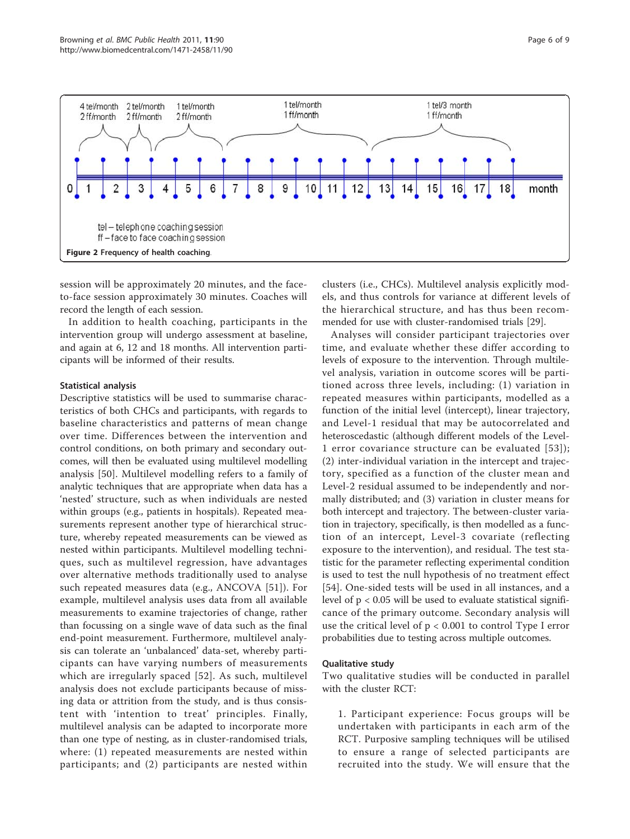<span id="page-5-0"></span>

session will be approximately 20 minutes, and the faceto-face session approximately 30 minutes. Coaches will record the length of each session.

In addition to health coaching, participants in the intervention group will undergo assessment at baseline, and again at 6, 12 and 18 months. All intervention participants will be informed of their results.

#### Statistical analysis

Descriptive statistics will be used to summarise characteristics of both CHCs and participants, with regards to baseline characteristics and patterns of mean change over time. Differences between the intervention and control conditions, on both primary and secondary outcomes, will then be evaluated using multilevel modelling analysis [[50\]](#page-7-0). Multilevel modelling refers to a family of analytic techniques that are appropriate when data has a 'nested' structure, such as when individuals are nested within groups (e.g., patients in hospitals). Repeated measurements represent another type of hierarchical structure, whereby repeated measurements can be viewed as nested within participants. Multilevel modelling techniques, such as multilevel regression, have advantages over alternative methods traditionally used to analyse such repeated measures data (e.g., ANCOVA [\[51](#page-7-0)]). For example, multilevel analysis uses data from all available measurements to examine trajectories of change, rather than focussing on a single wave of data such as the final end-point measurement. Furthermore, multilevel analysis can tolerate an 'unbalanced' data-set, whereby participants can have varying numbers of measurements which are irregularly spaced [\[52\]](#page-8-0). As such, multilevel analysis does not exclude participants because of missing data or attrition from the study, and is thus consistent with 'intention to treat' principles. Finally, multilevel analysis can be adapted to incorporate more than one type of nesting, as in cluster-randomised trials, where: (1) repeated measurements are nested within participants; and (2) participants are nested within

clusters (i.e., CHCs). Multilevel analysis explicitly models, and thus controls for variance at different levels of the hierarchical structure, and has thus been recommended for use with cluster-randomised trials [\[29](#page-7-0)].

Analyses will consider participant trajectories over time, and evaluate whether these differ according to levels of exposure to the intervention. Through multilevel analysis, variation in outcome scores will be partitioned across three levels, including: (1) variation in repeated measures within participants, modelled as a function of the initial level (intercept), linear trajectory, and Level-1 residual that may be autocorrelated and heteroscedastic (although different models of the Level-1 error covariance structure can be evaluated [[53](#page-8-0)]); (2) inter-individual variation in the intercept and trajectory, specified as a function of the cluster mean and Level-2 residual assumed to be independently and normally distributed; and (3) variation in cluster means for both intercept and trajectory. The between-cluster variation in trajectory, specifically, is then modelled as a function of an intercept, Level-3 covariate (reflecting exposure to the intervention), and residual. The test statistic for the parameter reflecting experimental condition is used to test the null hypothesis of no treatment effect [[54](#page-8-0)]. One-sided tests will be used in all instances, and a level of p < 0.05 will be used to evaluate statistical significance of the primary outcome. Secondary analysis will use the critical level of  $p < 0.001$  to control Type I error probabilities due to testing across multiple outcomes.

#### Qualitative study

Two qualitative studies will be conducted in parallel with the cluster RCT:

1. Participant experience: Focus groups will be undertaken with participants in each arm of the RCT. Purposive sampling techniques will be utilised to ensure a range of selected participants are recruited into the study. We will ensure that the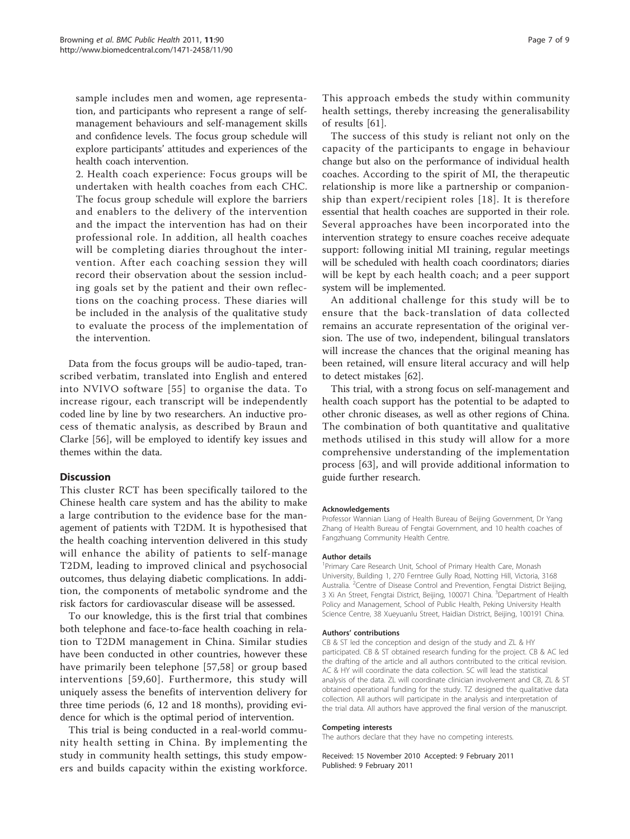sample includes men and women, age representation, and participants who represent a range of selfmanagement behaviours and self-management skills and confidence levels. The focus group schedule will explore participants' attitudes and experiences of the health coach intervention.

2. Health coach experience: Focus groups will be undertaken with health coaches from each CHC. The focus group schedule will explore the barriers and enablers to the delivery of the intervention and the impact the intervention has had on their professional role. In addition, all health coaches will be completing diaries throughout the intervention. After each coaching session they will record their observation about the session including goals set by the patient and their own reflections on the coaching process. These diaries will be included in the analysis of the qualitative study to evaluate the process of the implementation of the intervention.

Data from the focus groups will be audio-taped, transcribed verbatim, translated into English and entered into NVIVO software [[55\]](#page-8-0) to organise the data. To increase rigour, each transcript will be independently coded line by line by two researchers. An inductive process of thematic analysis, as described by Braun and Clarke [\[56](#page-8-0)], will be employed to identify key issues and themes within the data.

#### **Discussion**

This cluster RCT has been specifically tailored to the Chinese health care system and has the ability to make a large contribution to the evidence base for the management of patients with T2DM. It is hypothesised that the health coaching intervention delivered in this study will enhance the ability of patients to self-manage T2DM, leading to improved clinical and psychosocial outcomes, thus delaying diabetic complications. In addition, the components of metabolic syndrome and the risk factors for cardiovascular disease will be assessed.

To our knowledge, this is the first trial that combines both telephone and face-to-face health coaching in relation to T2DM management in China. Similar studies have been conducted in other countries, however these have primarily been telephone [\[57,58](#page-8-0)] or group based interventions [[59](#page-8-0),[60\]](#page-8-0). Furthermore, this study will uniquely assess the benefits of intervention delivery for three time periods (6, 12 and 18 months), providing evidence for which is the optimal period of intervention.

This trial is being conducted in a real-world community health setting in China. By implementing the study in community health settings, this study empowers and builds capacity within the existing workforce.

This approach embeds the study within community health settings, thereby increasing the generalisability of results [\[61](#page-8-0)].

The success of this study is reliant not only on the capacity of the participants to engage in behaviour change but also on the performance of individual health coaches. According to the spirit of MI, the therapeutic relationship is more like a partnership or companionship than expert/recipient roles [[18](#page-7-0)]. It is therefore essential that health coaches are supported in their role. Several approaches have been incorporated into the intervention strategy to ensure coaches receive adequate support: following initial MI training, regular meetings will be scheduled with health coach coordinators; diaries will be kept by each health coach; and a peer support system will be implemented.

An additional challenge for this study will be to ensure that the back-translation of data collected remains an accurate representation of the original version. The use of two, independent, bilingual translators will increase the chances that the original meaning has been retained, will ensure literal accuracy and will help to detect mistakes [\[62](#page-8-0)].

This trial, with a strong focus on self-management and health coach support has the potential to be adapted to other chronic diseases, as well as other regions of China. The combination of both quantitative and qualitative methods utilised in this study will allow for a more comprehensive understanding of the implementation process [\[63](#page-8-0)], and will provide additional information to guide further research.

#### Acknowledgements

Professor Wannian Liang of Health Bureau of Beijing Government, Dr Yang Zhang of Health Bureau of Fengtai Government, and 10 health coaches of Fangzhuang Community Health Centre.

#### Author details

<sup>1</sup> Primary Care Research Unit, School of Primary Health Care, Monash University, Building 1, 270 Ferntree Gully Road, Notting Hill, Victoria, 3168 Australia. <sup>2</sup> Centre of Disease Control and Prevention, Fengtai District Beijing, 3 Xi An Street, Fengtai District, Beijing, 100071 China. <sup>3</sup>Department of Health Policy and Management, School of Public Health, Peking University Health Science Centre, 38 Xueyuanlu Street, Haidian District, Beijing, 100191 China.

#### Authors' contributions

CB & ST led the conception and design of the study and ZL & HY participated. CB & ST obtained research funding for the project. CB & AC led the drafting of the article and all authors contributed to the critical revision. AC & HY will coordinate the data collection. SC will lead the statistical analysis of the data. ZL will coordinate clinician involvement and CB, ZL & ST obtained operational funding for the study. TZ designed the qualitative data collection. All authors will participate in the analysis and interpretation of the trial data. All authors have approved the final version of the manuscript.

#### Competing interests

The authors declare that they have no competing interests.

Received: 15 November 2010 Accepted: 9 February 2011 Published: 9 February 2011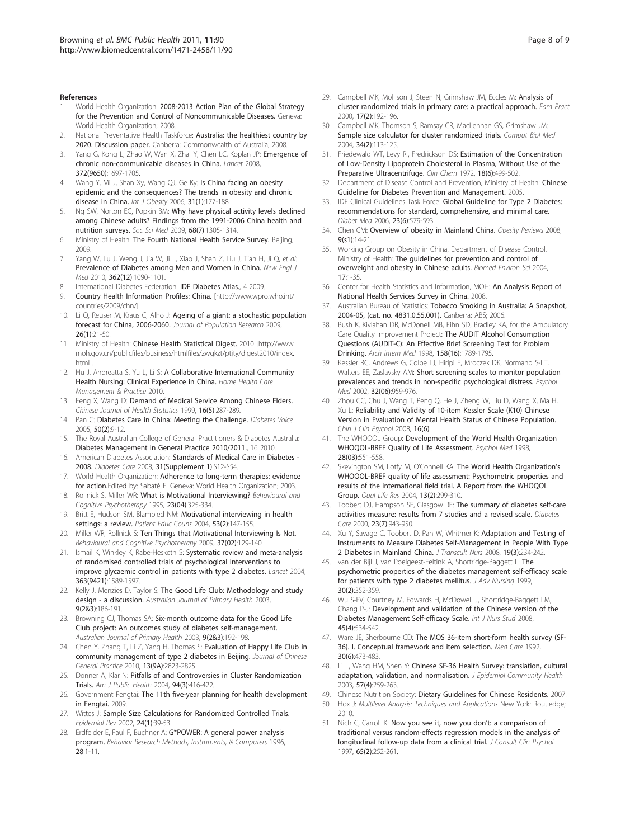#### <span id="page-7-0"></span>References

- 1. World Health Organization: 2008-2013 Action Plan of the Global Strategy for the Prevention and Control of Noncommunicable Diseases. Geneva: World Health Organization; 2008.
- 2. National Preventative Health Taskforce: Australia: the healthiest country by 2020. Discussion paper. Canberra: Commonwealth of Australia; 2008.
- 3. Yang G, Kong L, Zhao W, Wan X, Zhai Y, Chen LC, Koplan JP: [Emergence of](http://www.ncbi.nlm.nih.gov/pubmed/18930526?dopt=Abstract) [chronic non-communicable diseases in China.](http://www.ncbi.nlm.nih.gov/pubmed/18930526?dopt=Abstract) Lancet 2008, 372(9650):1697-1705.
- 4. Wang Y, Mi J, Shan Xy, Wang QJ, Ge Ky: Is China facing an obesity epidemic and the consequences? The trends in obesity and chronic disease in China. Int J Obesity 2006, 31(1):177-188.
- Ng SW, Norton EC, Popkin BM: [Why have physical activity levels declined](http://www.ncbi.nlm.nih.gov/pubmed/19232811?dopt=Abstract) [among Chinese adults? Findings from the 1991-2006 China health and](http://www.ncbi.nlm.nih.gov/pubmed/19232811?dopt=Abstract) [nutrition surveys.](http://www.ncbi.nlm.nih.gov/pubmed/19232811?dopt=Abstract) Soc Sci Med 2009, 68(7):1305-1314.
- 6. Ministry of Health: The Fourth National Health Service Survey. Beijing; 2009.
- 7. Yang W, Lu J, Weng J, Jia W, Ji L, Xiao J, Shan Z, Liu J, Tian H, Ji Q, et al: [Prevalence of Diabetes among Men and Women in China.](http://www.ncbi.nlm.nih.gov/pubmed/20335585?dopt=Abstract) New Engl J Med 2010, 362(12):1090-1101.
- 8. International Diabetes Federation: IDF Diabetes Atlas., 4 2009.
- 9. Country Health Information Profiles: China. [\[http://www.wpro.who.int/](http://www.wpro.who.int/countries/2009/chn/) [countries/2009/chn/](http://www.wpro.who.int/countries/2009/chn/)].
- 10. Li Q, Reuser M, Kraus C, Alho J: Ageing of a giant: a stochastic population forecast for China, 2006-2060. Journal of Population Research 2009, 26(1):21-50.
- 11. Ministry of Health: Chinese Health Statistical Digest. 2010 [\[http://www.](http://www.moh.gov.cn/publicfiles/business/htmlfiles/zwgkzt/ptjty/digest2010/index.html) [moh.gov.cn/publicfiles/business/htmlfiles/zwgkzt/ptjty/digest2010/index.](http://www.moh.gov.cn/publicfiles/business/htmlfiles/zwgkzt/ptjty/digest2010/index.html) [html\]](http://www.moh.gov.cn/publicfiles/business/htmlfiles/zwgkzt/ptjty/digest2010/index.html).
- 12. Hu J, Andreatta S, Yu L, Li S: A Collaborative International Community Health Nursing: Clinical Experience in China. Home Health Care Management & Practice 2010.
- 13. Feng X, Wang D: Demand of Medical Service Among Chinese Elders. Chinese Journal of Health Statistics 1999, 16(5):287-289.
- 14. Pan C: Diabetes Care in China: Meeting the Challenge. Diabetes Voice 2005, 50(2):9-12.
- 15. The Royal Australian College of General Practitioners & Diabetes Australia: Diabetes Management in General Practice 2010/2011., 16 2010.
- 16. American Diabetes Association: [Standards of Medical Care in Diabetes -](http://www.ncbi.nlm.nih.gov/pubmed/18165335?dopt=Abstract) [2008.](http://www.ncbi.nlm.nih.gov/pubmed/18165335?dopt=Abstract) Diabetes Care 2008, 31(Supplement 1):S12-S54.
- 17. World Health Organization: Adherence to long-term therapies: evidence for action.Edited by: Sabaté E. Geneva: World Health Organization; 2003.
- 18. Rollnick S, Miller WR: What is Motivational Interviewing? Behavioural and Cognitive Psychotherapy 1995, 23(04):325-334.
- 19. Britt E, Hudson SM, Blampied NM: Motivational [interviewing in health](http://www.ncbi.nlm.nih.gov/pubmed/15140454?dopt=Abstract) [settings: a review.](http://www.ncbi.nlm.nih.gov/pubmed/15140454?dopt=Abstract) Patient Educ Couns 2004, 53(2):147-155.
- 20. Miller WR, Rollnick S: [Ten Things that Motivational Interviewing Is Not.](http://www.ncbi.nlm.nih.gov/pubmed/19364414?dopt=Abstract) Behavioural and Cognitive Psychotherapy 2009, 37(02):129-140.
- 21. Ismail K, Winkley K, Rabe-Hesketh S: [Systematic review and meta-analysis](http://www.ncbi.nlm.nih.gov/pubmed/15145632?dopt=Abstract) [of randomised controlled trials of psychological interventions to](http://www.ncbi.nlm.nih.gov/pubmed/15145632?dopt=Abstract) [improve glycaemic control in patients with type 2 diabetes.](http://www.ncbi.nlm.nih.gov/pubmed/15145632?dopt=Abstract) Lancet 2004, 363(9421):1589-1597.
- 22. Kelly J, Menzies D, Taylor S: The Good Life Club: Methodology and study design - a discussion. Australian Journal of Primary Health 2003, 9(2&3):186-191.
- 23. Browning CJ, Thomas SA: Six-month outcome data for the Good Life Club project: An outcomes study of diabetes self-management. Australian Journal of Primary Health 2003, 9(2&3):192-198.
- 24. Chen Y, Zhang T, Li Z, Yang H, Thomas S: Evaluation of Happy Life Club in community management of type 2 diabetes in Beijing. Journal of Chinese General Practice 2010, 13(9A):2823-2825.
- 25. Donner A, Klar N: [Pitfalls of and Controversies in Cluster Randomization](http://www.ncbi.nlm.nih.gov/pubmed/14998805?dopt=Abstract) [Trials.](http://www.ncbi.nlm.nih.gov/pubmed/14998805?dopt=Abstract) Am J Public Health 2004, 94(3):416-422.
- 26. Government Fengtai: The 11th five-year planning for health development in Fengtai. 2009.
- 27. Wittes J: [Sample Size Calculations for Randomized Controlled Trials.](http://www.ncbi.nlm.nih.gov/pubmed/12119854?dopt=Abstract) Epidemiol Rev 2002, 24(1):39-53.
- 28. Erdfelder E, Faul F, Buchner A: G\*POWER: A general power analysis program. Behavior Research Methods, Instruments, & Computers 1996, 28:1-11.
- 29. Campbell MK, Mollison J, Steen N, Grimshaw JM, Eccles M: [Analysis of](http://www.ncbi.nlm.nih.gov/pubmed/10758085?dopt=Abstract) [cluster randomized trials in primary care: a practical approach.](http://www.ncbi.nlm.nih.gov/pubmed/10758085?dopt=Abstract) Fam Pract 2000, 17(2):192-196.
- 30. Campbell MK, Thomson S, Ramsay CR, MacLennan GS, Grimshaw JM: [Sample size calculator for cluster randomized trials.](http://www.ncbi.nlm.nih.gov/pubmed/14972631?dopt=Abstract) Comput Biol Med 2004, 34(2):113-125.
- 31. Friedewald WT, Levy RI, Fredrickson DS: [Estimation of the Concentration](http://www.ncbi.nlm.nih.gov/pubmed/4337382?dopt=Abstract) [of Low-Density Lipoprotein Cholesterol in Plasma, Without Use of the](http://www.ncbi.nlm.nih.gov/pubmed/4337382?dopt=Abstract) [Preparative Ultracentrifuge.](http://www.ncbi.nlm.nih.gov/pubmed/4337382?dopt=Abstract) Clin Chem 1972, 18(6):499-502.
- 32. Department of Disease Control and Prevention, Ministry of Health: Chinese Guideline for Diabetes Prevention and Management. 2005.
- 33. IDF Clinical Guidelines Task Force: [Global Guideline for Type 2 Diabetes:](http://www.ncbi.nlm.nih.gov/pubmed/16759299?dopt=Abstract) [recommendations for standard, comprehensive, and minimal care.](http://www.ncbi.nlm.nih.gov/pubmed/16759299?dopt=Abstract) Diabet Med 2006, 23(6):579-593.
- 34. Chen CM: [Overview of obesity in Mainland China.](http://www.ncbi.nlm.nih.gov/pubmed/18307694?dopt=Abstract) Obesity Reviews 2008, 9(s1):14-21.
- 35. Working Group on Obesity in China, Department of Disease Control, Ministry of Health: The guidelines for prevention and control of overweight and obesity in Chinese adults. Biomed Environ Sci 2004, 17:1-35.
- 36. Center for Health Statistics and Information, MOH: An Analysis Report of National Health Services Survey in China. 2008.
- 37. Australian Bureau of Statistics: Tobacco Smoking in Australia: A Snapshot, 2004-05, (cat. no. 4831.0.55.001). Canberra: ABS; 2006.
- 38. Bush K, Kivlahan DR, McDonell MB, Fihn SD, Bradley KA, for the Ambulatory Care Quality Improvement Project: [The AUDIT Alcohol Consumption](http://www.ncbi.nlm.nih.gov/pubmed/9738608?dopt=Abstract) [Questions \(AUDIT-C\): An Effective Brief Screening Test for Problem](http://www.ncbi.nlm.nih.gov/pubmed/9738608?dopt=Abstract) [Drinking.](http://www.ncbi.nlm.nih.gov/pubmed/9738608?dopt=Abstract) Arch Intern Med 1998, 158(16):1789-1795.
- 39. Kessler RC, Andrews G, Colpe LJ, Hiripi E, Mroczek DK, Normand S-LT, Walters EE, Zaslavsky AM: [Short screening scales to monitor population](http://www.ncbi.nlm.nih.gov/pubmed/12214795?dopt=Abstract) [prevalences and trends in non-specific psychological distress.](http://www.ncbi.nlm.nih.gov/pubmed/12214795?dopt=Abstract) Psychol .<br>Med 2002, **32(06)**:959-976.
- 40. Zhou CC, Chu J, Wang T, Peng Q, He J, Zheng W, Liu D, Wang X, Ma H, Xu L: Reliability and Validity of 10-item Kessler Scale (K10) Chinese Version in Evaluation of Mental Health Status of Chinese Population. Chin J Clin Psychol 2008, 16(6).
- 41. The WHOQOL Group: [Development of the World Health Organization](http://www.ncbi.nlm.nih.gov/pubmed/9626712?dopt=Abstract) [WHOQOL-BREF Quality of Life Assessment.](http://www.ncbi.nlm.nih.gov/pubmed/9626712?dopt=Abstract) Psychol Med 1998, 28(03):551-558.
- 42. Skevington SM, Lotfy M, O'Connell KA: [The World Health Organization](http://www.ncbi.nlm.nih.gov/pubmed/15085902?dopt=Abstract)'s [WHOQOL-BREF quality of life assessment: Psychometric properties and](http://www.ncbi.nlm.nih.gov/pubmed/15085902?dopt=Abstract) [results of the international field trial. A Report from the WHOQOL](http://www.ncbi.nlm.nih.gov/pubmed/15085902?dopt=Abstract) [Group.](http://www.ncbi.nlm.nih.gov/pubmed/15085902?dopt=Abstract) Qual Life Res 2004, 13(2):299-310.
- 43. Toobert DJ, Hampson SE, Glasgow RE: [The summary of diabetes self-care](http://www.ncbi.nlm.nih.gov/pubmed/10895844?dopt=Abstract) [activities measure: results from 7 studies and a revised scale.](http://www.ncbi.nlm.nih.gov/pubmed/10895844?dopt=Abstract) Diabetes Care 2000, 23(7):943-950.
- 44. Xu Y, Savage C, Toobert D, Pan W, Whitmer K: [Adaptation and Testing of](http://www.ncbi.nlm.nih.gov/pubmed/18579863?dopt=Abstract) [Instruments to Measure Diabetes Self-Management in People With Type](http://www.ncbi.nlm.nih.gov/pubmed/18579863?dopt=Abstract) [2 Diabetes in Mainland China.](http://www.ncbi.nlm.nih.gov/pubmed/18579863?dopt=Abstract) J Transcult Nurs 2008, 19(3):234-242.
- 45. van der Bijl J, van Poelgeest-Eeltink A, Shortridge-Baggett L: The psychometric properties of the diabetes management self-efficacy scale for patients with type 2 diabetes mellitus. J Adv Nursing 1999, 30(2):352-359.
- 46. Wu S-FV, Courtney M, Edwards H, McDowell J, Shortridge-Baggett LM, Chang P-J: [Development and validation of the Chinese version of the](http://www.ncbi.nlm.nih.gov/pubmed/17055509?dopt=Abstract) [Diabetes Management Self-efficacy Scale.](http://www.ncbi.nlm.nih.gov/pubmed/17055509?dopt=Abstract) Int J Nurs Stud 2008, 45(4):534-542.
- 47. Ware JE, Sherbourne CD: [The MOS 36-item short-form health survey \(SF-](http://www.ncbi.nlm.nih.gov/pubmed/1593914?dopt=Abstract)[36\). I. Conceptual framework and item selection.](http://www.ncbi.nlm.nih.gov/pubmed/1593914?dopt=Abstract) Med Care 1992. 30(6):473-483.
- 48. Li L, Wang HM, Shen Y: [Chinese SF-36 Health Survey: translation, cultural](http://www.ncbi.nlm.nih.gov/pubmed/12646540?dopt=Abstract) [adaptation, validation, and normalisation.](http://www.ncbi.nlm.nih.gov/pubmed/12646540?dopt=Abstract) J Epidemiol Community Health 2003, 57(4):259-263.
- 49. Chinese Nutrition Society: Dietary Guidelines for Chinese Residents. 2007.
- 50. Hox J: Multilevel Analysis: Techniques and Applications New York: Routledge; 2010.
- 51. Nich C, Carroll K: [Now you see it, now you don](http://www.ncbi.nlm.nih.gov/pubmed/9086688?dopt=Abstract)'t: a comparison of [traditional versus random-effects regression models in the analysis of](http://www.ncbi.nlm.nih.gov/pubmed/9086688?dopt=Abstract) [longitudinal follow-up data from a clinical trial.](http://www.ncbi.nlm.nih.gov/pubmed/9086688?dopt=Abstract) J Consult Clin Psychol 1997, 65(2):252-261.